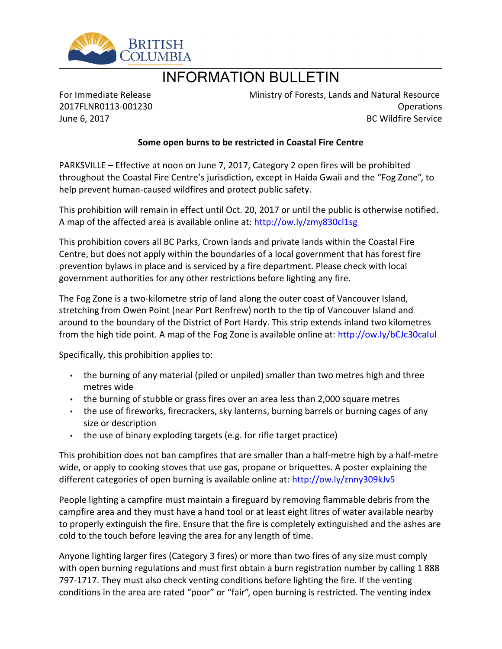

## INFORMATION BULLETIN

For Immediate Release 2017FLNR0113-001230 June 6, 2017

Ministry of Forests, Lands and Natural Resource Operations BC Wildfire Service

## **Some open burns to be restricted in Coastal Fire Centre**

PARKSVILLE – Effective at noon on June 7, 2017, Category 2 open fires will be prohibited throughout the Coastal Fire Centre's jurisdiction, except in Haida Gwaii and the "Fog Zone", to help prevent human-caused wildfires and protect public safety.

This prohibition will remain in effect until Oct. 20, 2017 or until the public is otherwise notified. A map of the affected area is available online at: <http://ow.ly/zmy830cl1sg>

This prohibition covers all BC Parks, Crown lands and private lands within the Coastal Fire Centre, but does not apply within the boundaries of a local government that has forest fire prevention bylaws in place and is serviced by a fire department. Please check with local government authorities for any other restrictions before lighting any fire.

The Fog Zone is a two-kilometre strip of land along the outer coast of Vancouver Island, stretching from Owen Point (near Port Renfrew) north to the tip of Vancouver Island and around to the boundary of the District of Port Hardy. This strip extends inland two kilometres from the high tide point. A map of the Fog Zone is available online at: <http://ow.ly/bCJc30caIul>

Specifically, this prohibition applies to:

- the burning of any material (piled or unpiled) smaller than two metres high and three metres wide
- the burning of stubble or grass fires over an area less than 2,000 square metres
- the use of fireworks, firecrackers, sky lanterns, burning barrels or burning cages of any size or description
- $\cdot$  the use of binary exploding targets (e.g. for rifle target practice)

This prohibition does not ban campfires that are smaller than a half-metre high by a half-metre wide, or apply to cooking stoves that use gas, propane or briquettes. A poster explaining the different categories of open burning is available online at:<http://ow.ly/znny309kJv5>

People lighting a campfire must maintain a fireguard by removing flammable debris from the campfire area and they must have a hand tool or at least eight litres of water available nearby to properly extinguish the fire. Ensure that the fire is completely extinguished and the ashes are cold to the touch before leaving the area for any length of time.

Anyone lighting larger fires (Category 3 fires) or more than two fires of any size must comply with open burning regulations and must first obtain a burn registration number by calling 1 888 797-1717. They must also check venting conditions before lighting the fire. If the venting conditions in the area are rated "poor" or "fair", open burning is restricted. The venting index